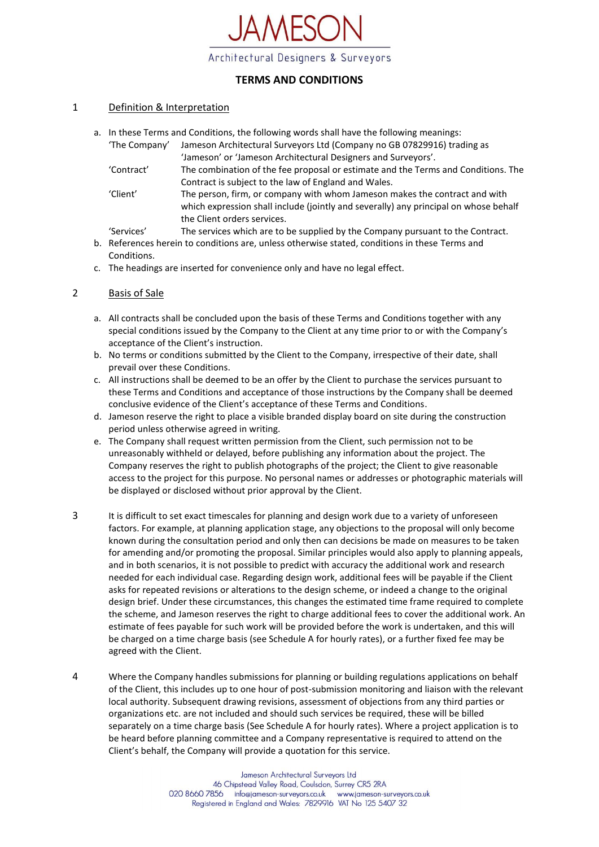

# **TERMS AND CONDITIONS**

#### 1 Definition & Interpretation

a. In these Terms and Conditions, the following words shall have the following meanings:

| 'The Company' | Jameson Architectural Surveyors Ltd (Company no GB 07829916) trading as                                                                                            |
|---------------|--------------------------------------------------------------------------------------------------------------------------------------------------------------------|
|               | 'Jameson' or 'Jameson Architectural Designers and Surveyors'.                                                                                                      |
| 'Contract'    | The combination of the fee proposal or estimate and the Terms and Conditions. The                                                                                  |
|               | Contract is subject to the law of England and Wales.                                                                                                               |
| 'Client'      | The person, firm, or company with whom Jameson makes the contract and with<br>which expression shall include (jointly and severally) any principal on whose behalf |
|               | the Client orders services.                                                                                                                                        |
| 'Services'    | The services which are to be supplied by the Company pursuant to the Contract.                                                                                     |

- b. References herein to conditions are, unless otherwise stated, conditions in these Terms and Conditions.
- c. The headings are inserted for convenience only and have no legal effect.

### 2 Basis of Sale

- a. All contracts shall be concluded upon the basis of these Terms and Conditions together with any special conditions issued by the Company to the Client at any time prior to or with the Company's acceptance of the Client's instruction.
- b. No terms or conditions submitted by the Client to the Company, irrespective of their date, shall prevail over these Conditions.
- c. All instructions shall be deemed to be an offer by the Client to purchase the services pursuant to these Terms and Conditions and acceptance of those instructions by the Company shall be deemed conclusive evidence of the Client's acceptance of these Terms and Conditions.
- d. Jameson reserve the right to place a visible branded display board on site during the construction period unless otherwise agreed in writing.
- e. The Company shall request written permission from the Client, such permission not to be unreasonably withheld or delayed, before publishing any information about the project. The Company reserves the right to publish photographs of the project; the Client to give reasonable access to the project for this purpose. No personal names or addresses or photographic materials will be displayed or disclosed without prior approval by the Client.
- 3 It is difficult to set exact timescales for planning and design work due to a variety of unforeseen factors. For example, at planning application stage, any objections to the proposal will only become known during the consultation period and only then can decisions be made on measures to be taken for amending and/or promoting the proposal. Similar principles would also apply to planning appeals, and in both scenarios, it is not possible to predict with accuracy the additional work and research needed for each individual case. Regarding design work, additional fees will be payable if the Client asks for repeated revisions or alterations to the design scheme, or indeed a change to the original design brief. Under these circumstances, this changes the estimated time frame required to complete the scheme, and Jameson reserves the right to charge additional fees to cover the additional work. An estimate of fees payable for such work will be provided before the work is undertaken, and this will be charged on a time charge basis (see Schedule A for hourly rates), or a further fixed fee may be agreed with the Client.
- 4 Where the Company handles submissions for planning or building regulations applications on behalf of the Client, this includes up to one hour of post-submission monitoring and liaison with the relevant local authority. Subsequent drawing revisions, assessment of objections from any third parties or organizations etc. are not included and should such services be required, these will be billed separately on a time charge basis (See Schedule A for hourly rates). Where a project application is to be heard before planning committee and a Company representative is required to attend on the Client's behalf, the Company will provide a quotation for this service.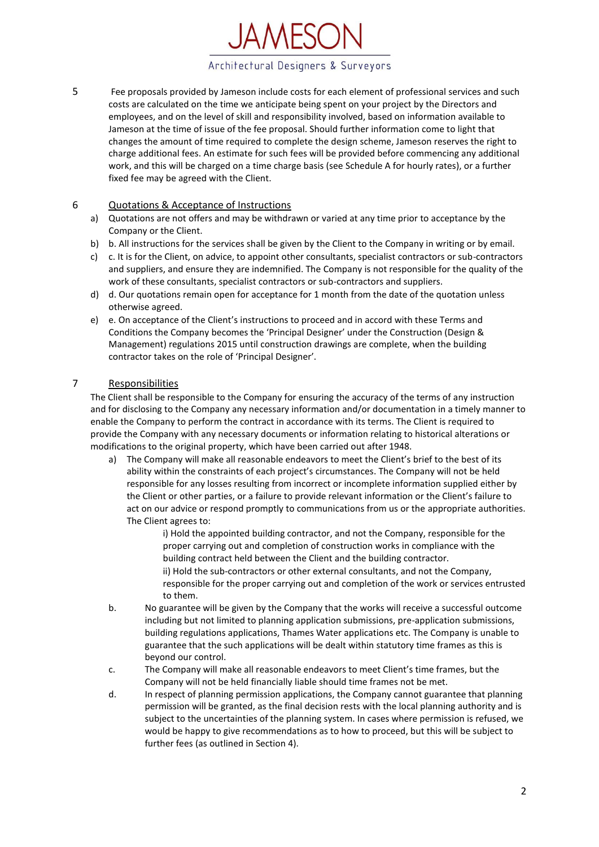

5 Fee proposals provided by Jameson include costs for each element of professional services and such costs are calculated on the time we anticipate being spent on your project by the Directors and employees, and on the level of skill and responsibility involved, based on information available to Jameson at the time of issue of the fee proposal. Should further information come to light that changes the amount of time required to complete the design scheme, Jameson reserves the right to charge additional fees. An estimate for such fees will be provided before commencing any additional work, and this will be charged on a time charge basis (see Schedule A for hourly rates), or a further fixed fee may be agreed with the Client.

## 6 Quotations & Acceptance of Instructions

- a) Quotations are not offers and may be withdrawn or varied at any time prior to acceptance by the Company or the Client.
- b) b. All instructions for the services shall be given by the Client to the Company in writing or by email.
- c) c. It is for the Client, on advice, to appoint other consultants, specialist contractors or sub-contractors and suppliers, and ensure they are indemnified. The Company is not responsible for the quality of the work of these consultants, specialist contractors or sub-contractors and suppliers.
- d) d. Our quotations remain open for acceptance for 1 month from the date of the quotation unless otherwise agreed.
- e) e. On acceptance of the Client's instructions to proceed and in accord with these Terms and Conditions the Company becomes the 'Principal Designer' under the Construction (Design & Management) regulations 2015 until construction drawings are complete, when the building contractor takes on the role of 'Principal Designer'.

### 7 Responsibilities

The Client shall be responsible to the Company for ensuring the accuracy of the terms of any instruction and for disclosing to the Company any necessary information and/or documentation in a timely manner to enable the Company to perform the contract in accordance with its terms. The Client is required to provide the Company with any necessary documents or information relating to historical alterations or modifications to the original property, which have been carried out after 1948.

- a) The Company will make all reasonable endeavors to meet the Client's brief to the best of its ability within the constraints of each project's circumstances. The Company will not be held responsible for any losses resulting from incorrect or incomplete information supplied either by the Client or other parties, or a failure to provide relevant information or the Client's failure to act on our advice or respond promptly to communications from us or the appropriate authorities. The Client agrees to:
	- i) Hold the appointed building contractor, and not the Company, responsible for the proper carrying out and completion of construction works in compliance with the building contract held between the Client and the building contractor. ii) Hold the sub-contractors or other external consultants, and not the Company,
	- responsible for the proper carrying out and completion of the work or services entrusted to them.
- b. No guarantee will be given by the Company that the works will receive a successful outcome including but not limited to planning application submissions, pre-application submissions, building regulations applications, Thames Water applications etc. The Company is unable to guarantee that the such applications will be dealt within statutory time frames as this is beyond our control.
- c. The Company will make all reasonable endeavors to meet Client's time frames, but the Company will not be held financially liable should time frames not be met.
- d. In respect of planning permission applications, the Company cannot guarantee that planning permission will be granted, as the final decision rests with the local planning authority and is subject to the uncertainties of the planning system. In cases where permission is refused, we would be happy to give recommendations as to how to proceed, but this will be subject to further fees (as outlined in Section 4).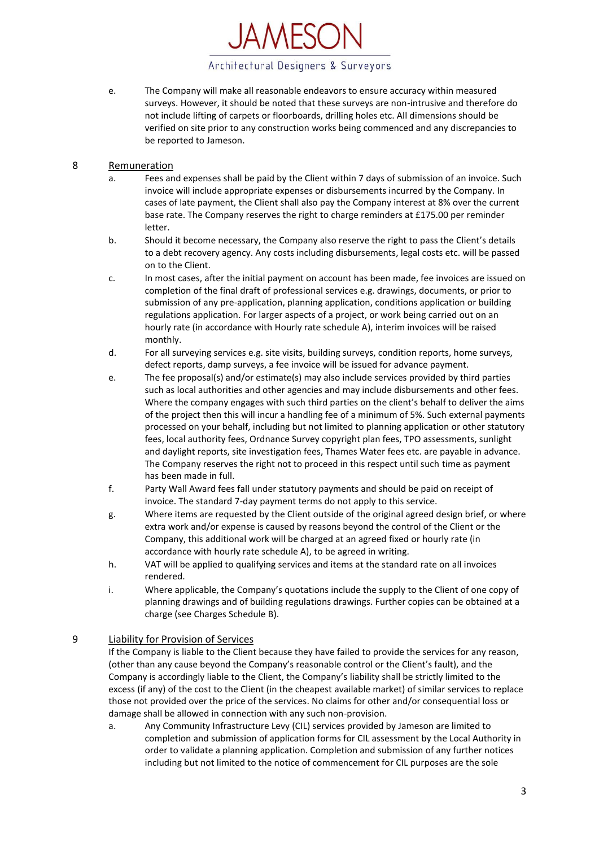

- e. The Company will make all reasonable endeavors to ensure accuracy within measured surveys. However, it should be noted that these surveys are non-intrusive and therefore do not include lifting of carpets or floorboards, drilling holes etc. All dimensions should be verified on site prior to any construction works being commenced and any discrepancies to be reported to Jameson.
- 8 Remuneration
	- a. Fees and expenses shall be paid by the Client within 7 days of submission of an invoice. Such invoice will include appropriate expenses or disbursements incurred by the Company. In cases of late payment, the Client shall also pay the Company interest at 8% over the current base rate. The Company reserves the right to charge reminders at £175.00 per reminder letter.
	- b. Should it become necessary, the Company also reserve the right to pass the Client's details to a debt recovery agency. Any costs including disbursements, legal costs etc. will be passed on to the Client.
	- c. In most cases, after the initial payment on account has been made, fee invoices are issued on completion of the final draft of professional services e.g. drawings, documents, or prior to submission of any pre-application, planning application, conditions application or building regulations application. For larger aspects of a project, or work being carried out on an hourly rate (in accordance with Hourly rate schedule A), interim invoices will be raised monthly.
	- d. For all surveying services e.g. site visits, building surveys, condition reports, home surveys, defect reports, damp surveys, a fee invoice will be issued for advance payment.
	- e. The fee proposal(s) and/or estimate(s) may also include services provided by third parties such as local authorities and other agencies and may include disbursements and other fees. Where the company engages with such third parties on the client's behalf to deliver the aims of the project then this will incur a handling fee of a minimum of 5%. Such external payments processed on your behalf, including but not limited to planning application or other statutory fees, local authority fees, Ordnance Survey copyright plan fees, TPO assessments, sunlight and daylight reports, site investigation fees, Thames Water fees etc. are payable in advance. The Company reserves the right not to proceed in this respect until such time as payment has been made in full.
	- f. Party Wall Award fees fall under statutory payments and should be paid on receipt of invoice. The standard 7-day payment terms do not apply to this service.
	- g. Where items are requested by the Client outside of the original agreed design brief, or where extra work and/or expense is caused by reasons beyond the control of the Client or the Company, this additional work will be charged at an agreed fixed or hourly rate (in accordance with hourly rate schedule A), to be agreed in writing.
	- h. VAT will be applied to qualifying services and items at the standard rate on all invoices rendered.
	- i. Where applicable, the Company's quotations include the supply to the Client of one copy of planning drawings and of building regulations drawings. Further copies can be obtained at a charge (see Charges Schedule B).

# 9 Liability for Provision of Services

If the Company is liable to the Client because they have failed to provide the services for any reason, (other than any cause beyond the Company's reasonable control or the Client's fault), and the Company is accordingly liable to the Client, the Company's liability shall be strictly limited to the excess (if any) of the cost to the Client (in the cheapest available market) of similar services to replace those not provided over the price of the services. No claims for other and/or consequential loss or damage shall be allowed in connection with any such non-provision.

a. Any Community Infrastructure Levy (CIL) services provided by Jameson are limited to completion and submission of application forms for CIL assessment by the Local Authority in order to validate a planning application. Completion and submission of any further notices including but not limited to the notice of commencement for CIL purposes are the sole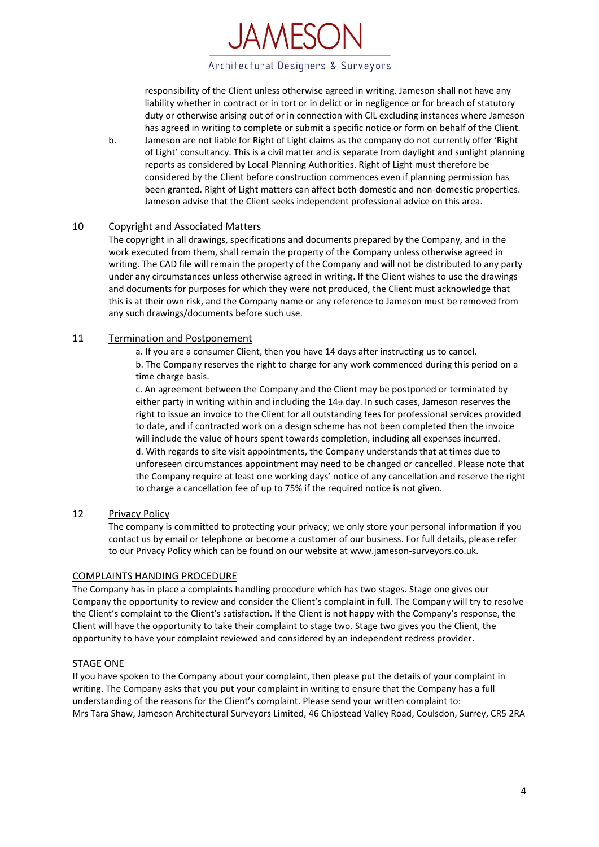

responsibility of the Client unless otherwise agreed in writing. Jameson shall not have any liability whether in contract or in tort or in delict or in negligence or for breach of statutory duty or otherwise arising out of or in connection with CIL excluding instances where Jameson has agreed in writing to complete or submit a specific notice or form on behalf of the Client.

b. Jameson are not liable for Right of Light claims as the company do not currently offer 'Right of Light' consultancy. This is a civil matter and is separate from daylight and sunlight planning reports as considered by Local Planning Authorities. Right of Light must therefore be considered by the Client before construction commences even if planning permission has been granted. Right of Light matters can affect both domestic and non-domestic properties. Jameson advise that the Client seeks independent professional advice on this area.

### 10 Copyright and Associated Matters

The copyright in all drawings, specifications and documents prepared by the Company, and in the work executed from them, shall remain the property of the Company unless otherwise agreed in writing. The CAD file will remain the property of the Company and will not be distributed to any party under any circumstances unless otherwise agreed in writing. If the Client wishes to use the drawings and documents for purposes for which they were not produced, the Client must acknowledge that this is at their own risk, and the Company name or any reference to Jameson must be removed from any such drawings/documents before such use.

### 11 Termination and Postponement

a. If you are a consumer Client, then you have 14 days after instructing us to cancel.

b. The Company reserves the right to charge for any work commenced during this period on a time charge basis.

c. An agreement between the Company and the Client may be postponed or terminated by either party in writing within and including the 14th day. In such cases, Jameson reserves the right to issue an invoice to the Client for all outstanding fees for professional services provided to date, and if contracted work on a design scheme has not been completed then the invoice will include the value of hours spent towards completion, including all expenses incurred. d. With regards to site visit appointments, the Company understands that at times due to unforeseen circumstances appointment may need to be changed or cancelled. Please note that the Company require at least one working days' notice of any cancellation and reserve the right to charge a cancellation fee of up to 75% if the required notice is not given.

## 12 Privacy Policy

The company is committed to protecting your privacy; we only store your personal information if you contact us by email or telephone or become a customer of our business. For full details, please refer to our Privacy Policy which can be found on our website at www.jameson-surveyors.co.uk.

## COMPLAINTS HANDING PROCEDURE

The Company has in place a complaints handling procedure which has two stages. Stage one gives our Company the opportunity to review and consider the Client's complaint in full. The Company will try to resolve the Client's complaint to the Client's satisfaction. If the Client is not happy with the Company's response, the Client will have the opportunity to take their complaint to stage two. Stage two gives you the Client, the opportunity to have your complaint reviewed and considered by an independent redress provider.

## STAGE ONE

If you have spoken to the Company about your complaint, then please put the details of your complaint in writing. The Company asks that you put your complaint in writing to ensure that the Company has a full understanding of the reasons for the Client's complaint. Please send your written complaint to: Mrs Tara Shaw, Jameson Architectural Surveyors Limited, 46 Chipstead Valley Road, Coulsdon, Surrey, CR5 2RA